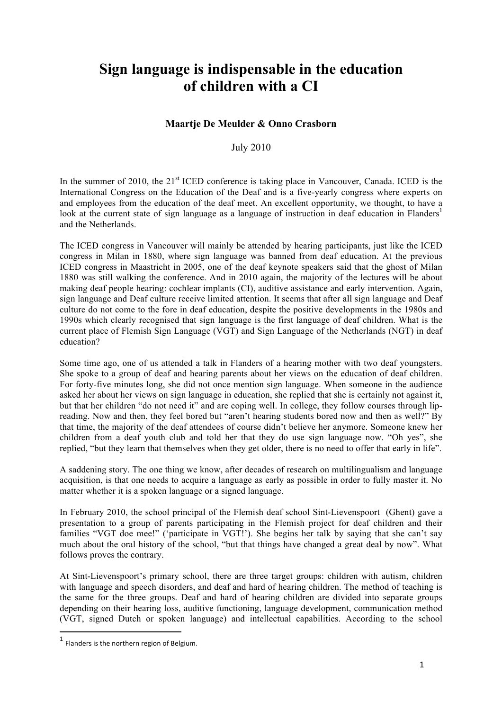## **Sign language is indispensable in the education of children with a CI**

## **Maartje De Meulder & Onno Crasborn**

July 2010

In the summer of 2010, the  $21<sup>st</sup>$  ICED conference is taking place in Vancouver, Canada. ICED is the International Congress on the Education of the Deaf and is a five-yearly congress where experts on and employees from the education of the deaf meet. An excellent opportunity, we thought, to have a look at the current state of sign language as a language of instruction in deaf education in Flanders<sup>1</sup> and the Netherlands.

The ICED congress in Vancouver will mainly be attended by hearing participants, just like the ICED congress in Milan in 1880, where sign language was banned from deaf education. At the previous ICED congress in Maastricht in 2005, one of the deaf keynote speakers said that the ghost of Milan 1880 was still walking the conference. And in 2010 again, the majority of the lectures will be about making deaf people hearing: cochlear implants (CI), auditive assistance and early intervention. Again, sign language and Deaf culture receive limited attention. It seems that after all sign language and Deaf culture do not come to the fore in deaf education, despite the positive developments in the 1980s and 1990s which clearly recognised that sign language is the first language of deaf children. What is the current place of Flemish Sign Language (VGT) and Sign Language of the Netherlands (NGT) in deaf education?

Some time ago, one of us attended a talk in Flanders of a hearing mother with two deaf youngsters. She spoke to a group of deaf and hearing parents about her views on the education of deaf children. For forty-five minutes long, she did not once mention sign language. When someone in the audience asked her about her views on sign language in education, she replied that she is certainly not against it, but that her children "do not need it" and are coping well. In college, they follow courses through lipreading. Now and then, they feel bored but "aren't hearing students bored now and then as well?" By that time, the majority of the deaf attendees of course didn't believe her anymore. Someone knew her children from a deaf youth club and told her that they do use sign language now. "Oh yes", she replied, "but they learn that themselves when they get older, there is no need to offer that early in life".

A saddening story. The one thing we know, after decades of research on multilingualism and language acquisition, is that one needs to acquire a language as early as possible in order to fully master it. No matter whether it is a spoken language or a signed language.

In February 2010, the school principal of the Flemish deaf school Sint-Lievenspoort (Ghent) gave a presentation to a group of parents participating in the Flemish project for deaf children and their families "VGT doe mee!" ('participate in VGT!'). She begins her talk by saying that she can't say much about the oral history of the school, "but that things have changed a great deal by now". What follows proves the contrary.

At Sint-Lievenspoort's primary school, there are three target groups: children with autism, children with language and speech disorders, and deaf and hard of hearing children. The method of teaching is the same for the three groups. Deaf and hard of hearing children are divided into separate groups depending on their hearing loss, auditive functioning, language development, communication method (VGT, signed Dutch or spoken language) and intellectual capabilities. According to the school

!!!!!!!!!!!!!!!!!!!!!!!!!!!!!!!!!!!!!!!!!!!!!!!!!!!!!!!!!!!!

 $1$  Flanders is the northern region of Belgium.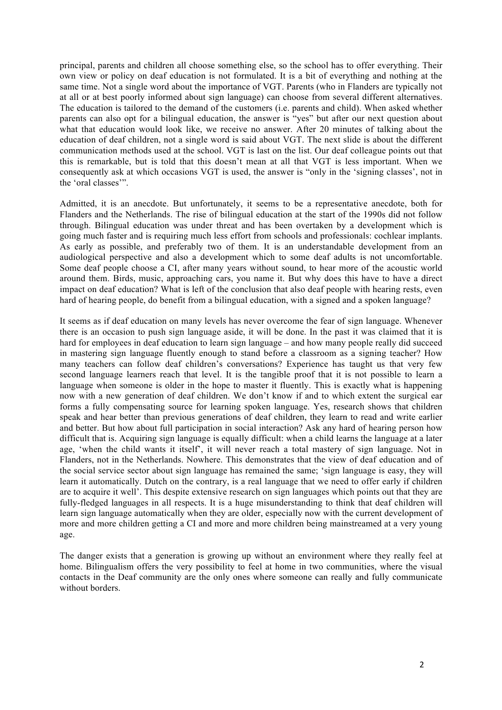principal, parents and children all choose something else, so the school has to offer everything. Their own view or policy on deaf education is not formulated. It is a bit of everything and nothing at the same time. Not a single word about the importance of VGT. Parents (who in Flanders are typically not at all or at best poorly informed about sign language) can choose from several different alternatives. The education is tailored to the demand of the customers (i.e. parents and child). When asked whether parents can also opt for a bilingual education, the answer is "yes" but after our next question about what that education would look like, we receive no answer. After 20 minutes of talking about the education of deaf children, not a single word is said about VGT. The next slide is about the different communication methods used at the school. VGT is last on the list. Our deaf colleague points out that this is remarkable, but is told that this doesn't mean at all that VGT is less important. When we consequently ask at which occasions VGT is used, the answer is "only in the 'signing classes', not in the 'oral classes'".

Admitted, it is an anecdote. But unfortunately, it seems to be a representative anecdote, both for Flanders and the Netherlands. The rise of bilingual education at the start of the 1990s did not follow through. Bilingual education was under threat and has been overtaken by a development which is going much faster and is requiring much less effort from schools and professionals: cochlear implants. As early as possible, and preferably two of them. It is an understandable development from an audiological perspective and also a development which to some deaf adults is not uncomfortable. Some deaf people choose a CI, after many years without sound, to hear more of the acoustic world around them. Birds, music, approaching cars, you name it. But why does this have to have a direct impact on deaf education? What is left of the conclusion that also deaf people with hearing rests, even hard of hearing people, do benefit from a bilingual education, with a signed and a spoken language?

It seems as if deaf education on many levels has never overcome the fear of sign language. Whenever there is an occasion to push sign language aside, it will be done. In the past it was claimed that it is hard for employees in deaf education to learn sign language – and how many people really did succeed in mastering sign language fluently enough to stand before a classroom as a signing teacher? How many teachers can follow deaf children's conversations? Experience has taught us that very few second language learners reach that level. It is the tangible proof that it is not possible to learn a language when someone is older in the hope to master it fluently. This is exactly what is happening now with a new generation of deaf children. We don't know if and to which extent the surgical ear forms a fully compensating source for learning spoken language. Yes, research shows that children speak and hear better than previous generations of deaf children, they learn to read and write earlier and better. But how about full participation in social interaction? Ask any hard of hearing person how difficult that is. Acquiring sign language is equally difficult: when a child learns the language at a later age, 'when the child wants it itself', it will never reach a total mastery of sign language. Not in Flanders, not in the Netherlands. Nowhere. This demonstrates that the view of deaf education and of the social service sector about sign language has remained the same; 'sign language is easy, they will learn it automatically. Dutch on the contrary, is a real language that we need to offer early if children are to acquire it well'. This despite extensive research on sign languages which points out that they are fully-fledged languages in all respects. It is a huge misunderstanding to think that deaf children will learn sign language automatically when they are older, especially now with the current development of more and more children getting a CI and more and more children being mainstreamed at a very young age.

The danger exists that a generation is growing up without an environment where they really feel at home. Bilingualism offers the very possibility to feel at home in two communities, where the visual contacts in the Deaf community are the only ones where someone can really and fully communicate without borders.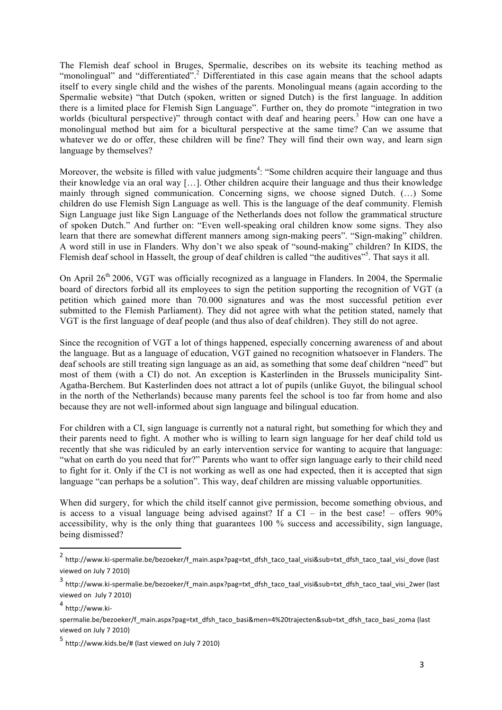The Flemish deaf school in Bruges, Spermalie, describes on its website its teaching method as "monolingual" and "differentiated".<sup>2</sup> Differentiated in this case again means that the school adapts itself to every single child and the wishes of the parents. Monolingual means (again according to the Spermalie website) "that Dutch (spoken, written or signed Dutch) is the first language. In addition there is a limited place for Flemish Sign Language". Further on, they do promote "integration in two worlds (bicultural perspective)" through contact with deaf and hearing peers.<sup>3</sup> How can one have a monolingual method but aim for a bicultural perspective at the same time? Can we assume that whatever we do or offer, these children will be fine? They will find their own way, and learn sign language by themselves?

Moreover, the website is filled with value judgments<sup>4</sup>: "Some children acquire their language and thus their knowledge via an oral way […]. Other children acquire their language and thus their knowledge mainly through signed communication. Concerning signs, we choose signed Dutch. (…) Some children do use Flemish Sign Language as well. This is the language of the deaf community. Flemish Sign Language just like Sign Language of the Netherlands does not follow the grammatical structure of spoken Dutch." And further on: "Even well-speaking oral children know some signs. They also learn that there are somewhat different manners among sign-making peers". "Sign-making" children. A word still in use in Flanders. Why don't we also speak of "sound-making" children? In KIDS, the Flemish deaf school in Hasselt, the group of deaf children is called "the auditives"<sup>5</sup>. That says it all.

On April 26<sup>th</sup> 2006, VGT was officially recognized as a language in Flanders. In 2004, the Spermalie board of directors forbid all its employees to sign the petition supporting the recognition of VGT (a petition which gained more than 70.000 signatures and was the most successful petition ever submitted to the Flemish Parliament). They did not agree with what the petition stated, namely that VGT is the first language of deaf people (and thus also of deaf children). They still do not agree.

Since the recognition of VGT a lot of things happened, especially concerning awareness of and about the language. But as a language of education, VGT gained no recognition whatsoever in Flanders. The deaf schools are still treating sign language as an aid, as something that some deaf children "need" but most of them (with a CI) do not. An exception is Kasterlinden in the Brussels municipality Sint-Agatha-Berchem. But Kasterlinden does not attract a lot of pupils (unlike Guyot, the bilingual school in the north of the Netherlands) because many parents feel the school is too far from home and also because they are not well-informed about sign language and bilingual education.

For children with a CI, sign language is currently not a natural right, but something for which they and their parents need to fight. A mother who is willing to learn sign language for her deaf child told us recently that she was ridiculed by an early intervention service for wanting to acquire that language: "what on earth do you need that for?" Parents who want to offer sign language early to their child need to fight for it. Only if the CI is not working as well as one had expected, then it is accepted that sign language "can perhaps be a solution". This way, deaf children are missing valuable opportunities.

When did surgery, for which the child itself cannot give permission, become something obvious, and is access to a visual language being advised against? If a  $CI - in$  the best case! – offers 90% accessibility, why is the only thing that guarantees 100 % success and accessibility, sign language, being dismissed?

!!!!!!!!!!!!!!!!!!!!!!!!!!!!!!!!!!!!!!!!!!!!!!!!!!!!!!!!!!!!

<sup>&</sup>lt;sup>2</sup> http://www.ki-spermalie.be/bezoeker/f main.aspx?pag=txt\_dfsh\_taco\_taal\_visi&sub=txt\_dfsh\_taco\_taal\_visi\_dove (last viewed on July 7 2010)

 $^3$  http://www.ki-spermalie.be/bezoeker/f\_main.aspx?pag=txt\_dfsh\_taco\_taal\_visi&sub=txt\_dfsh\_taco\_taal\_visi\_2wer (last viewed on July 7 2010)

 $4$  http://www.ki-

spermalie.be/bezoeker/f\_main.aspx?pag=txt\_dfsh\_taco\_basi&men=4%20trajecten&sub=txt\_dfsh\_taco\_basi\_zoma (last viewed on July 7 2010)

 $^5$  http://www.kids.be/# (last viewed on July 7 2010)